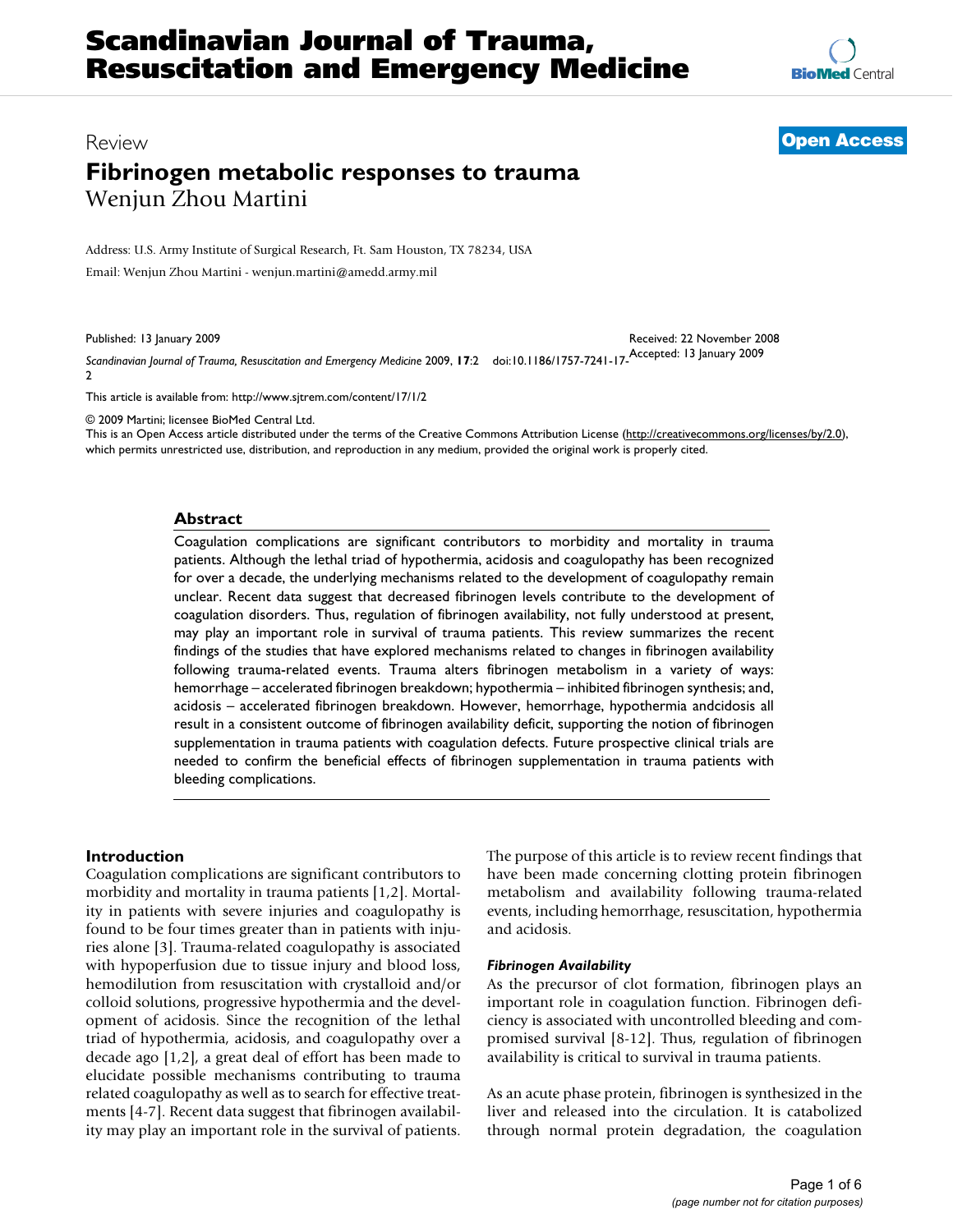**[BioMed](http://www.biomedcentral.com/)** Central

# Review **[Open Access](http://www.biomedcentral.com/info/about/charter/) Fibrinogen metabolic responses to trauma** Wenjun Zhou Martini

Address: U.S. Army Institute of Surgical Research, Ft. Sam Houston, TX 78234, USA

Email: Wenjun Zhou Martini - wenjun.martini@amedd.army.mil

Published: 13 January 2009

Received: 22 November 2008

*Scandinavian Journal of Trauma, Resuscitation and Emergency Medicine* 2009, **17**:2 doi:10.1186/1757-7241-17- Accepted: 13 January 2009 2

[This article is available from: http://www.sjtrem.com/content/17/1/2](http://www.sjtrem.com/content/17/1/2)

© 2009 Martini; licensee BioMed Central Ltd.

This is an Open Access article distributed under the terms of the Creative Commons Attribution License [\(http://creativecommons.org/licenses/by/2.0\)](http://creativecommons.org/licenses/by/2.0), which permits unrestricted use, distribution, and reproduction in any medium, provided the original work is properly cited.

#### **Abstract**

Coagulation complications are significant contributors to morbidity and mortality in trauma patients. Although the lethal triad of hypothermia, acidosis and coagulopathy has been recognized for over a decade, the underlying mechanisms related to the development of coagulopathy remain unclear. Recent data suggest that decreased fibrinogen levels contribute to the development of coagulation disorders. Thus, regulation of fibrinogen availability, not fully understood at present, may play an important role in survival of trauma patients. This review summarizes the recent findings of the studies that have explored mechanisms related to changes in fibrinogen availability following trauma-related events. Trauma alters fibrinogen metabolism in a variety of ways: hemorrhage – accelerated fibrinogen breakdown; hypothermia – inhibited fibrinogen synthesis; and, acidosis – accelerated fibrinogen breakdown. However, hemorrhage, hypothermia andcidosis all result in a consistent outcome of fibrinogen availability deficit, supporting the notion of fibrinogen supplementation in trauma patients with coagulation defects. Future prospective clinical trials are needed to confirm the beneficial effects of fibrinogen supplementation in trauma patients with bleeding complications.

# **Introduction**

Coagulation complications are significant contributors to morbidity and mortality in trauma patients [1,2]. Mortality in patients with severe injuries and coagulopathy is found to be four times greater than in patients with injuries alone [3]. Trauma-related coagulopathy is associated with hypoperfusion due to tissue injury and blood loss, hemodilution from resuscitation with crystalloid and/or colloid solutions, progressive hypothermia and the development of acidosis. Since the recognition of the lethal triad of hypothermia, acidosis, and coagulopathy over a decade ago [1,2], a great deal of effort has been made to elucidate possible mechanisms contributing to trauma related coagulopathy as well as to search for effective treatments [4-7]. Recent data suggest that fibrinogen availability may play an important role in the survival of patients. The purpose of this article is to review recent findings that have been made concerning clotting protein fibrinogen metabolism and availability following trauma-related events, including hemorrhage, resuscitation, hypothermia and acidosis.

#### *Fibrinogen Availability*

As the precursor of clot formation, fibrinogen plays an important role in coagulation function. Fibrinogen deficiency is associated with uncontrolled bleeding and compromised survival [8-12]. Thus, regulation of fibrinogen availability is critical to survival in trauma patients.

As an acute phase protein, fibrinogen is synthesized in the liver and released into the circulation. It is catabolized through normal protein degradation, the coagulation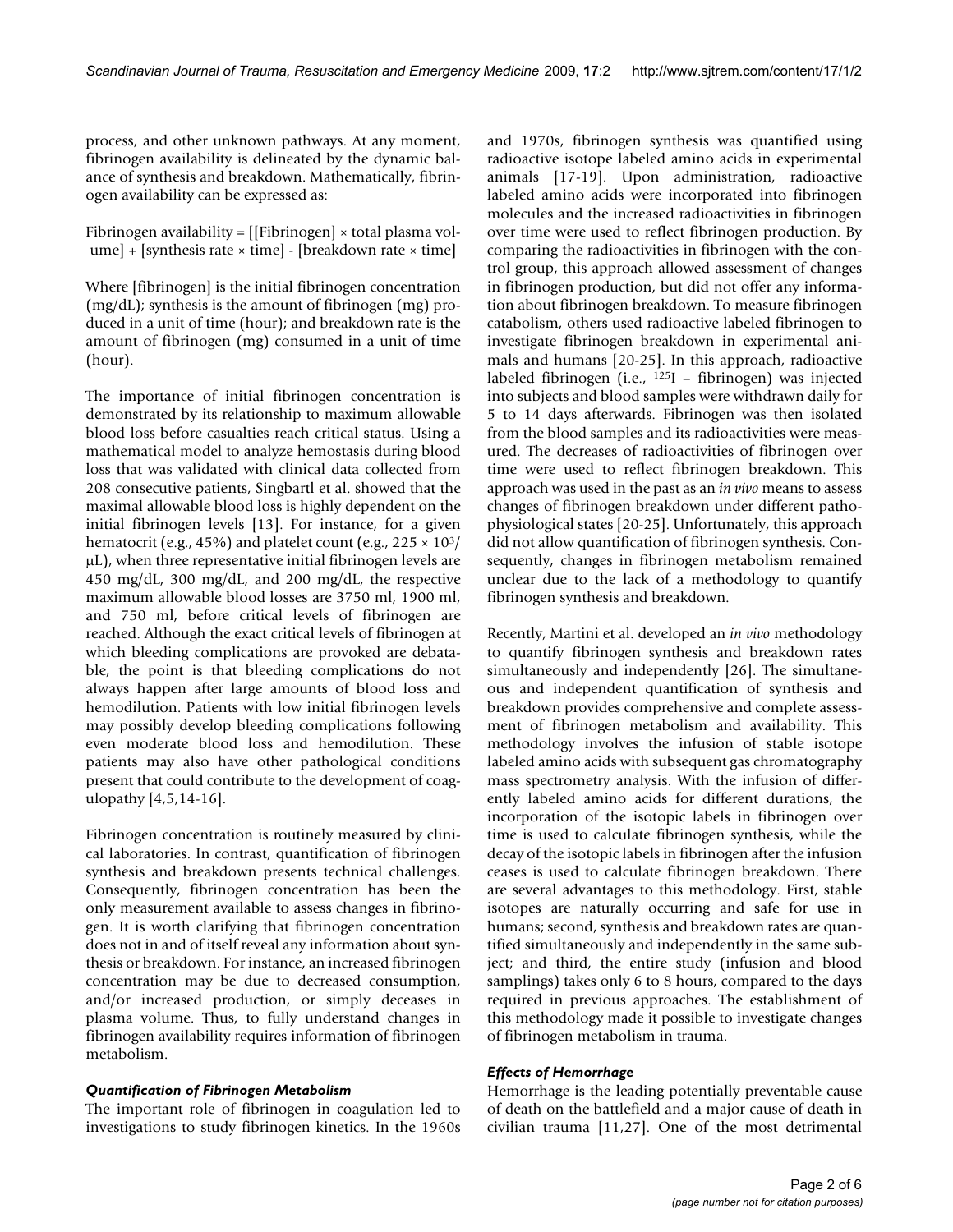process, and other unknown pathways. At any moment, fibrinogen availability is delineated by the dynamic balance of synthesis and breakdown. Mathematically, fibrinogen availability can be expressed as:

Fibrinogen availability = [[Fibrinogen] × total plasma volume] + [synthesis rate × time] - [breakdown rate × time]

Where [fibrinogen] is the initial fibrinogen concentration (mg/dL); synthesis is the amount of fibrinogen (mg) produced in a unit of time (hour); and breakdown rate is the amount of fibrinogen (mg) consumed in a unit of time (hour).

The importance of initial fibrinogen concentration is demonstrated by its relationship to maximum allowable blood loss before casualties reach critical status. Using a mathematical model to analyze hemostasis during blood loss that was validated with clinical data collected from 208 consecutive patients, Singbartl et al. showed that the maximal allowable blood loss is highly dependent on the initial fibrinogen levels [13]. For instance, for a given hematocrit (e.g., 45%) and platelet count (e.g.,  $225 \times 10^3$ ) μL), when three representative initial fibrinogen levels are 450 mg/dL, 300 mg/dL, and 200 mg/dL, the respective maximum allowable blood losses are 3750 ml, 1900 ml, and 750 ml, before critical levels of fibrinogen are reached. Although the exact critical levels of fibrinogen at which bleeding complications are provoked are debatable, the point is that bleeding complications do not always happen after large amounts of blood loss and hemodilution. Patients with low initial fibrinogen levels may possibly develop bleeding complications following even moderate blood loss and hemodilution. These patients may also have other pathological conditions present that could contribute to the development of coagulopathy [4,5,14-16].

Fibrinogen concentration is routinely measured by clinical laboratories. In contrast, quantification of fibrinogen synthesis and breakdown presents technical challenges. Consequently, fibrinogen concentration has been the only measurement available to assess changes in fibrinogen. It is worth clarifying that fibrinogen concentration does not in and of itself reveal any information about synthesis or breakdown. For instance, an increased fibrinogen concentration may be due to decreased consumption, and/or increased production, or simply deceases in plasma volume. Thus, to fully understand changes in fibrinogen availability requires information of fibrinogen metabolism.

#### *Quantification of Fibrinogen Metabolism*

The important role of fibrinogen in coagulation led to investigations to study fibrinogen kinetics. In the 1960s and 1970s, fibrinogen synthesis was quantified using radioactive isotope labeled amino acids in experimental animals [17-19]. Upon administration, radioactive labeled amino acids were incorporated into fibrinogen molecules and the increased radioactivities in fibrinogen over time were used to reflect fibrinogen production. By comparing the radioactivities in fibrinogen with the control group, this approach allowed assessment of changes in fibrinogen production, but did not offer any information about fibrinogen breakdown. To measure fibrinogen catabolism, others used radioactive labeled fibrinogen to investigate fibrinogen breakdown in experimental animals and humans [20-25]. In this approach, radioactive labeled fibrinogen (i.e., 125I – fibrinogen) was injected into subjects and blood samples were withdrawn daily for 5 to 14 days afterwards. Fibrinogen was then isolated from the blood samples and its radioactivities were measured. The decreases of radioactivities of fibrinogen over time were used to reflect fibrinogen breakdown. This approach was used in the past as an *in vivo* means to assess changes of fibrinogen breakdown under different pathophysiological states [20-25]. Unfortunately, this approach did not allow quantification of fibrinogen synthesis. Consequently, changes in fibrinogen metabolism remained unclear due to the lack of a methodology to quantify fibrinogen synthesis and breakdown.

Recently, Martini et al. developed an *in vivo* methodology to quantify fibrinogen synthesis and breakdown rates simultaneously and independently [26]. The simultaneous and independent quantification of synthesis and breakdown provides comprehensive and complete assessment of fibrinogen metabolism and availability. This methodology involves the infusion of stable isotope labeled amino acids with subsequent gas chromatography mass spectrometry analysis. With the infusion of differently labeled amino acids for different durations, the incorporation of the isotopic labels in fibrinogen over time is used to calculate fibrinogen synthesis, while the decay of the isotopic labels in fibrinogen after the infusion ceases is used to calculate fibrinogen breakdown. There are several advantages to this methodology. First, stable isotopes are naturally occurring and safe for use in humans; second, synthesis and breakdown rates are quantified simultaneously and independently in the same subject; and third, the entire study (infusion and blood samplings) takes only 6 to 8 hours, compared to the days required in previous approaches. The establishment of this methodology made it possible to investigate changes of fibrinogen metabolism in trauma.

#### *Effects of Hemorrhage*

Hemorrhage is the leading potentially preventable cause of death on the battlefield and a major cause of death in civilian trauma [11,27]. One of the most detrimental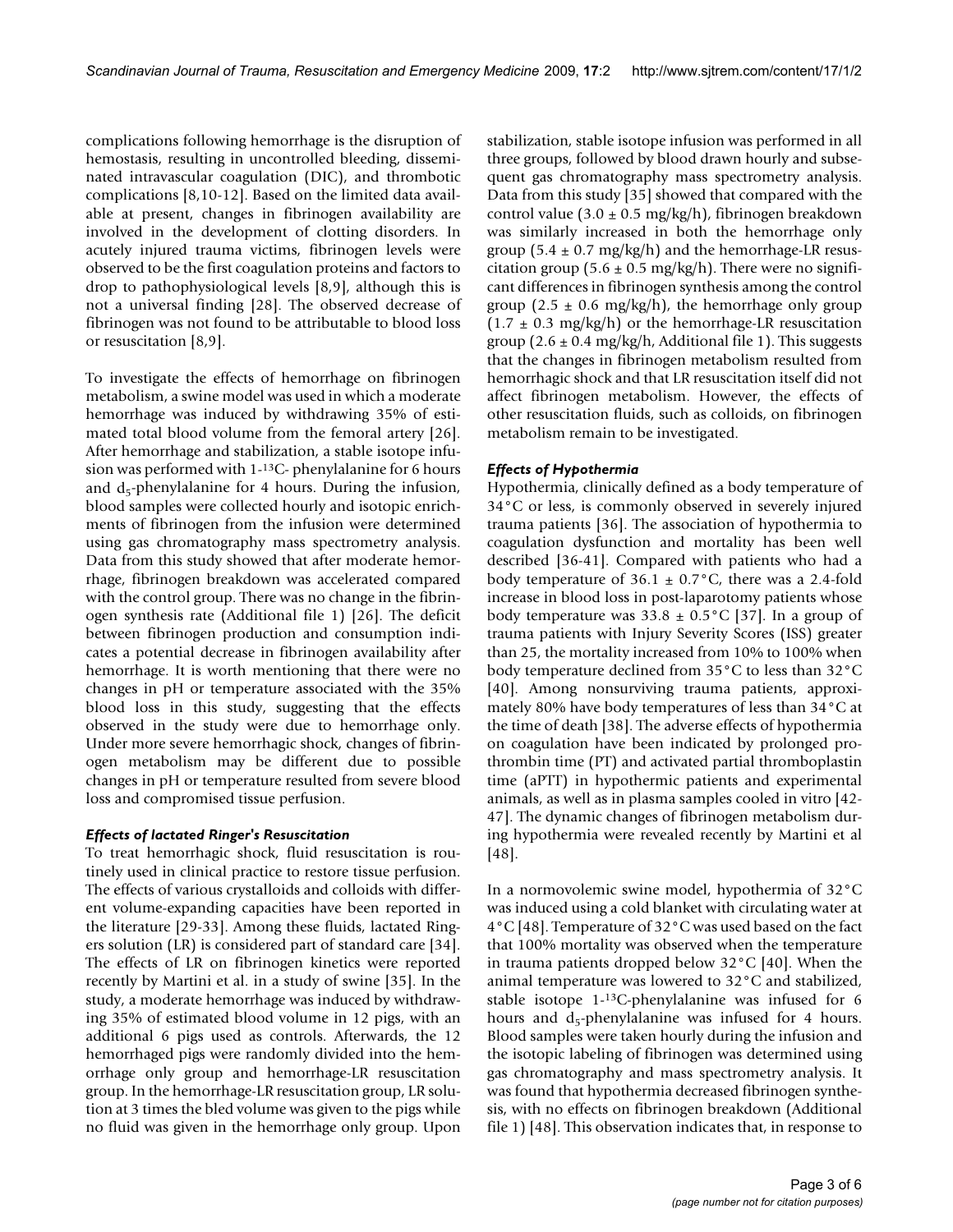complications following hemorrhage is the disruption of hemostasis, resulting in uncontrolled bleeding, disseminated intravascular coagulation (DIC), and thrombotic complications [8,10-12]. Based on the limited data available at present, changes in fibrinogen availability are involved in the development of clotting disorders. In acutely injured trauma victims, fibrinogen levels were observed to be the first coagulation proteins and factors to drop to pathophysiological levels [8,9], although this is not a universal finding [28]. The observed decrease of fibrinogen was not found to be attributable to blood loss or resuscitation [8,9].

To investigate the effects of hemorrhage on fibrinogen metabolism, a swine model was used in which a moderate hemorrhage was induced by withdrawing 35% of estimated total blood volume from the femoral artery [26]. After hemorrhage and stabilization, a stable isotope infusion was performed with 1-13C- phenylalanine for 6 hours and  $d_5$ -phenylalanine for 4 hours. During the infusion, blood samples were collected hourly and isotopic enrichments of fibrinogen from the infusion were determined using gas chromatography mass spectrometry analysis. Data from this study showed that after moderate hemorrhage, fibrinogen breakdown was accelerated compared with the control group. There was no change in the fibrinogen synthesis rate (Additional file 1) [26]. The deficit between fibrinogen production and consumption indicates a potential decrease in fibrinogen availability after hemorrhage. It is worth mentioning that there were no changes in pH or temperature associated with the 35% blood loss in this study, suggesting that the effects observed in the study were due to hemorrhage only. Under more severe hemorrhagic shock, changes of fibrinogen metabolism may be different due to possible changes in pH or temperature resulted from severe blood loss and compromised tissue perfusion.

# *Effects of lactated Ringer's Resuscitation*

To treat hemorrhagic shock, fluid resuscitation is routinely used in clinical practice to restore tissue perfusion. The effects of various crystalloids and colloids with different volume-expanding capacities have been reported in the literature [29-33]. Among these fluids, lactated Ringers solution (LR) is considered part of standard care [34]. The effects of LR on fibrinogen kinetics were reported recently by Martini et al. in a study of swine [35]. In the study, a moderate hemorrhage was induced by withdrawing 35% of estimated blood volume in 12 pigs, with an additional 6 pigs used as controls. Afterwards, the 12 hemorrhaged pigs were randomly divided into the hemorrhage only group and hemorrhage-LR resuscitation group. In the hemorrhage-LR resuscitation group, LR solution at 3 times the bled volume was given to the pigs while no fluid was given in the hemorrhage only group. Upon

stabilization, stable isotope infusion was performed in all three groups, followed by blood drawn hourly and subsequent gas chromatography mass spectrometry analysis. Data from this study [35] showed that compared with the control value  $(3.0 \pm 0.5 \text{ mg/kg/h})$ , fibrinogen breakdown was similarly increased in both the hemorrhage only group (5.4  $\pm$  0.7 mg/kg/h) and the hemorrhage-LR resuscitation group (5.6  $\pm$  0.5 mg/kg/h). There were no significant differences in fibrinogen synthesis among the control group (2.5  $\pm$  0.6 mg/kg/h), the hemorrhage only group  $(1.7 \pm 0.3 \text{ mg/kg/h})$  or the hemorrhage-LR resuscitation group  $(2.6 \pm 0.4 \text{ mg/kg/h}$ , Additional file 1). This suggests that the changes in fibrinogen metabolism resulted from hemorrhagic shock and that LR resuscitation itself did not affect fibrinogen metabolism. However, the effects of other resuscitation fluids, such as colloids, on fibrinogen metabolism remain to be investigated.

# *Effects of Hypothermia*

Hypothermia, clinically defined as a body temperature of 34°C or less, is commonly observed in severely injured trauma patients [36]. The association of hypothermia to coagulation dysfunction and mortality has been well described [36-41]. Compared with patients who had a body temperature of  $36.1 \pm 0.7$ °C, there was a 2.4-fold increase in blood loss in post-laparotomy patients whose body temperature was  $33.8 \pm 0.5^{\circ}$ C [37]. In a group of trauma patients with Injury Severity Scores (ISS) greater than 25, the mortality increased from 10% to 100% when body temperature declined from 35°C to less than 32°C [40]. Among nonsurviving trauma patients, approximately 80% have body temperatures of less than 34°C at the time of death [38]. The adverse effects of hypothermia on coagulation have been indicated by prolonged prothrombin time (PT) and activated partial thromboplastin time (aPTT) in hypothermic patients and experimental animals, as well as in plasma samples cooled in vitro [42- 47]. The dynamic changes of fibrinogen metabolism during hypothermia were revealed recently by Martini et al [48].

In a normovolemic swine model, hypothermia of 32°C was induced using a cold blanket with circulating water at 4°C [48]. Temperature of 32°C was used based on the fact that 100% mortality was observed when the temperature in trauma patients dropped below 32°C [40]. When the animal temperature was lowered to 32°C and stabilized, stable isotope 1-13C-phenylalanine was infused for 6 hours and  $d_5$ -phenylalanine was infused for 4 hours. Blood samples were taken hourly during the infusion and the isotopic labeling of fibrinogen was determined using gas chromatography and mass spectrometry analysis. It was found that hypothermia decreased fibrinogen synthesis, with no effects on fibrinogen breakdown (Additional file 1) [48]. This observation indicates that, in response to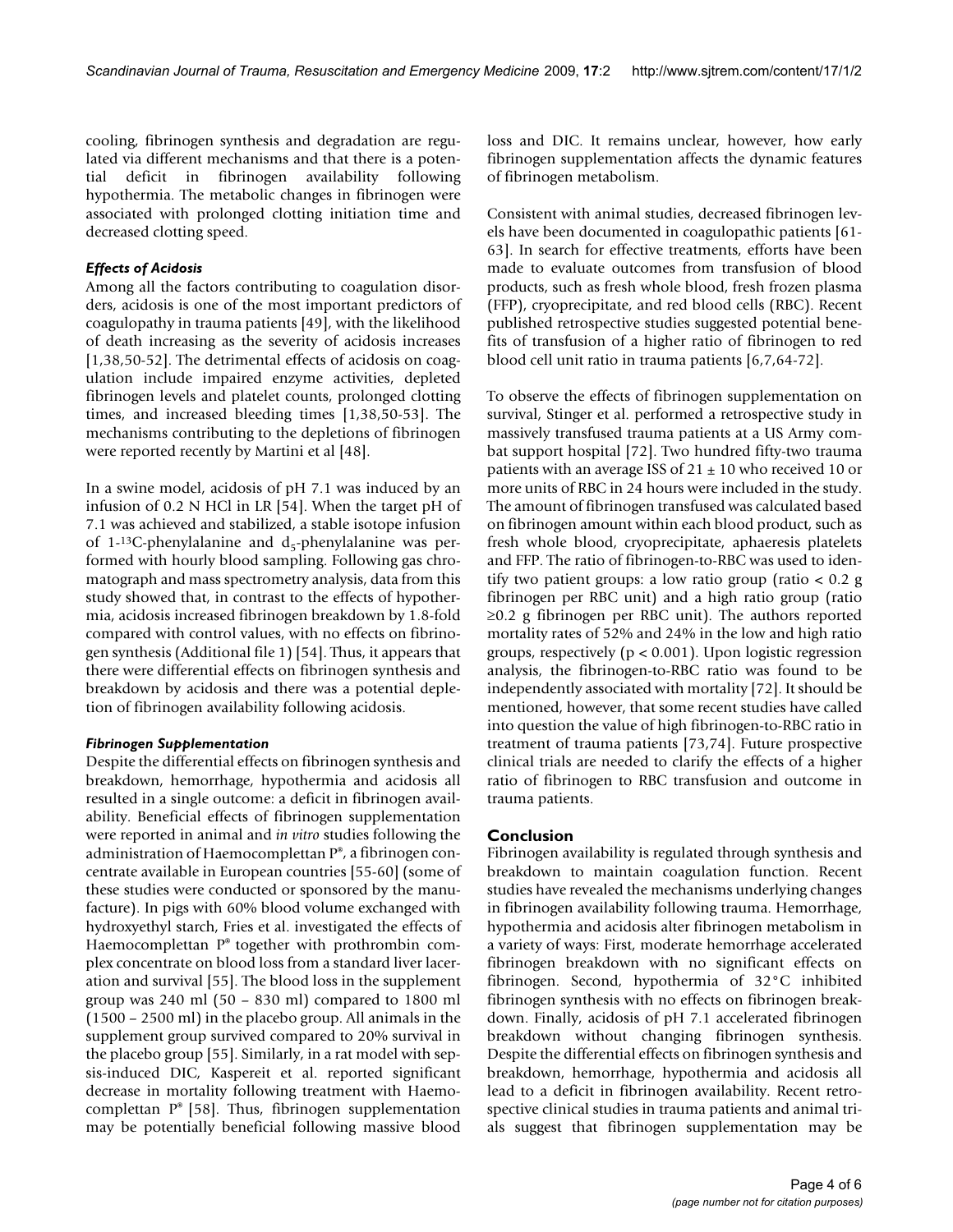cooling, fibrinogen synthesis and degradation are regulated via different mechanisms and that there is a potential deficit in fibrinogen availability following hypothermia. The metabolic changes in fibrinogen were associated with prolonged clotting initiation time and decreased clotting speed.

# *Effects of Acidosis*

Among all the factors contributing to coagulation disorders, acidosis is one of the most important predictors of coagulopathy in trauma patients [49], with the likelihood of death increasing as the severity of acidosis increases [1,38,50-52]. The detrimental effects of acidosis on coagulation include impaired enzyme activities, depleted fibrinogen levels and platelet counts, prolonged clotting times, and increased bleeding times [1,38,50-53]. The mechanisms contributing to the depletions of fibrinogen were reported recently by Martini et al [48].

In a swine model, acidosis of pH 7.1 was induced by an infusion of 0.2 N HCl in LR [54]. When the target pH of 7.1 was achieved and stabilized, a stable isotope infusion of 1-<sup>13</sup>C-phenylalanine and  $d_5$ -phenylalanine was performed with hourly blood sampling. Following gas chromatograph and mass spectrometry analysis, data from this study showed that, in contrast to the effects of hypothermia, acidosis increased fibrinogen breakdown by 1.8-fold compared with control values, with no effects on fibrinogen synthesis (Additional file 1) [54]. Thus, it appears that there were differential effects on fibrinogen synthesis and breakdown by acidosis and there was a potential depletion of fibrinogen availability following acidosis.

# *Fibrinogen Supplementation*

Despite the differential effects on fibrinogen synthesis and breakdown, hemorrhage, hypothermia and acidosis all resulted in a single outcome: a deficit in fibrinogen availability. Beneficial effects of fibrinogen supplementation were reported in animal and *in vitro* studies following the administration of Haemocomplettan P®, a fibrinogen concentrate available in European countries [55-60] (some of these studies were conducted or sponsored by the manufacture). In pigs with 60% blood volume exchanged with hydroxyethyl starch, Fries et al. investigated the effects of Haemocomplettan  $P^*$  together with prothrombin complex concentrate on blood loss from a standard liver laceration and survival [55]. The blood loss in the supplement group was 240 ml (50 – 830 ml) compared to 1800 ml (1500 – 2500 ml) in the placebo group. All animals in the supplement group survived compared to 20% survival in the placebo group [55]. Similarly, in a rat model with sepsis-induced DIC, Kaspereit et al. reported significant decrease in mortality following treatment with Haemocomplettan P® [58]. Thus, fibrinogen supplementation may be potentially beneficial following massive blood

loss and DIC. It remains unclear, however, how early fibrinogen supplementation affects the dynamic features of fibrinogen metabolism.

Consistent with animal studies, decreased fibrinogen levels have been documented in coagulopathic patients [61- 63]. In search for effective treatments, efforts have been made to evaluate outcomes from transfusion of blood products, such as fresh whole blood, fresh frozen plasma (FFP), cryoprecipitate, and red blood cells (RBC). Recent published retrospective studies suggested potential benefits of transfusion of a higher ratio of fibrinogen to red blood cell unit ratio in trauma patients [6,7,64-72].

To observe the effects of fibrinogen supplementation on survival, Stinger et al. performed a retrospective study in massively transfused trauma patients at a US Army combat support hospital [72]. Two hundred fifty-two trauma patients with an average ISS of  $21 \pm 10$  who received 10 or more units of RBC in 24 hours were included in the study. The amount of fibrinogen transfused was calculated based on fibrinogen amount within each blood product, such as fresh whole blood, cryoprecipitate, aphaeresis platelets and FFP. The ratio of fibrinogen-to-RBC was used to identify two patient groups: a low ratio group (ratio < 0.2 g fibrinogen per RBC unit) and a high ratio group (ratio ≥0.2 g fibrinogen per RBC unit). The authors reported mortality rates of 52% and 24% in the low and high ratio groups, respectively ( $p < 0.001$ ). Upon logistic regression analysis, the fibrinogen-to-RBC ratio was found to be independently associated with mortality [72]. It should be mentioned, however, that some recent studies have called into question the value of high fibrinogen-to-RBC ratio in treatment of trauma patients [73,74]. Future prospective clinical trials are needed to clarify the effects of a higher ratio of fibrinogen to RBC transfusion and outcome in trauma patients.

# **Conclusion**

Fibrinogen availability is regulated through synthesis and breakdown to maintain coagulation function. Recent studies have revealed the mechanisms underlying changes in fibrinogen availability following trauma. Hemorrhage, hypothermia and acidosis alter fibrinogen metabolism in a variety of ways: First, moderate hemorrhage accelerated fibrinogen breakdown with no significant effects on fibrinogen. Second, hypothermia of 32°C inhibited fibrinogen synthesis with no effects on fibrinogen breakdown. Finally, acidosis of pH 7.1 accelerated fibrinogen breakdown without changing fibrinogen synthesis. Despite the differential effects on fibrinogen synthesis and breakdown, hemorrhage, hypothermia and acidosis all lead to a deficit in fibrinogen availability. Recent retrospective clinical studies in trauma patients and animal trials suggest that fibrinogen supplementation may be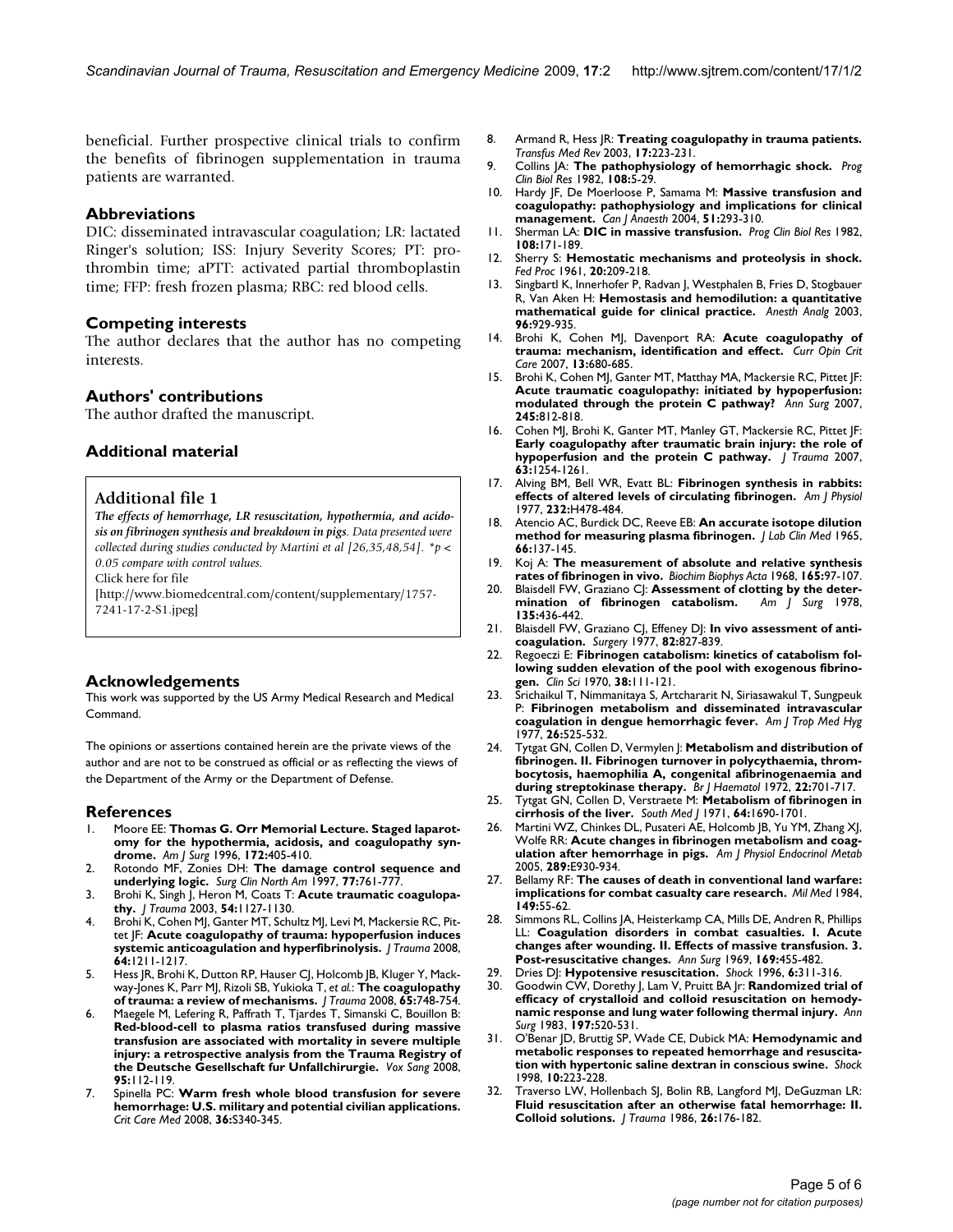beneficial. Further prospective clinical trials to confirm the benefits of fibrinogen supplementation in trauma patients are warranted.

#### **Abbreviations**

DIC: disseminated intravascular coagulation; LR: lactated Ringer's solution; ISS: Injury Severity Scores; PT: prothrombin time; aPTT: activated partial thromboplastin time; FFP: fresh frozen plasma; RBC: red blood cells.

#### **Competing interests**

The author declares that the author has no competing interests.

#### **Authors' contributions**

The author drafted the manuscript.

# **Additional material**

#### **Additional file 1**

*The effects of hemorrhage, LR resuscitation, hypothermia, and acidosis on fibrinogen synthesis and breakdown in pigs. Data presented were collected during studies conducted by Martini et al [26,35,48,54]. \*p < 0.05 compare with control values.*

Click here for file

[\[http://www.biomedcentral.com/content/supplementary/1757-](http://www.biomedcentral.com/content/supplementary/1757-7241-17-2-S1.jpeg) 7241-17-2-S1.jpeg]

# **Acknowledgements**

This work was supported by the US Army Medical Research and Medical Command.

The opinions or assertions contained herein are the private views of the author and are not to be construed as official or as reflecting the views of the Department of the Army or the Department of Defense.

# **References**

- 1. Moore EE: **[Thomas G. Orr Memorial Lecture. Staged laparot](http://www.ncbi.nlm.nih.gov/entrez/query.fcgi?cmd=Retrieve&db=PubMed&dopt=Abstract&list_uids=8942535)[omy for the hypothermia, acidosis, and coagulopathy syn](http://www.ncbi.nlm.nih.gov/entrez/query.fcgi?cmd=Retrieve&db=PubMed&dopt=Abstract&list_uids=8942535)[drome.](http://www.ncbi.nlm.nih.gov/entrez/query.fcgi?cmd=Retrieve&db=PubMed&dopt=Abstract&list_uids=8942535)** *Am J Surg* 1996, **172:**405-410.
- 2. Rotondo MF, Zonies DH: **[The damage control sequence and](http://www.ncbi.nlm.nih.gov/entrez/query.fcgi?cmd=Retrieve&db=PubMed&dopt=Abstract&list_uids=9291979) [underlying logic.](http://www.ncbi.nlm.nih.gov/entrez/query.fcgi?cmd=Retrieve&db=PubMed&dopt=Abstract&list_uids=9291979)** *Surg Clin North Am* 1997, **77:**761-777.
- 3. Brohi K, Singh J, Heron M, Coats T: **[Acute traumatic coagulopa](http://www.ncbi.nlm.nih.gov/entrez/query.fcgi?cmd=Retrieve&db=PubMed&dopt=Abstract&list_uids=12813333)[thy.](http://www.ncbi.nlm.nih.gov/entrez/query.fcgi?cmd=Retrieve&db=PubMed&dopt=Abstract&list_uids=12813333)** *J Trauma* 2003, **54:**1127-1130.
- 4. Brohi K, Cohen MJ, Ganter MT, Schultz MJ, Levi M, Mackersie RC, Pittet JF: **[Acute coagulopathy of trauma: hypoperfusion induces](http://www.ncbi.nlm.nih.gov/entrez/query.fcgi?cmd=Retrieve&db=PubMed&dopt=Abstract&list_uids=18469643) [systemic anticoagulation and hyperfibrinolysis.](http://www.ncbi.nlm.nih.gov/entrez/query.fcgi?cmd=Retrieve&db=PubMed&dopt=Abstract&list_uids=18469643)** *J Trauma* 2008, **64:**1211-1217.
- Hess JR, Brohi K, Dutton RP, Hauser CJ, Holcomb JB, Kluger Y, Mackway-Jones K, Parr MJ, Rizoli SB, Yukioka T, *et al.*: **[The coagulopathy](http://www.ncbi.nlm.nih.gov/entrez/query.fcgi?cmd=Retrieve&db=PubMed&dopt=Abstract&list_uids=18849786) [of trauma: a review of mechanisms.](http://www.ncbi.nlm.nih.gov/entrez/query.fcgi?cmd=Retrieve&db=PubMed&dopt=Abstract&list_uids=18849786)** *J Trauma* 2008, **65:**748-754.
- 6. Maegele M, Lefering R, Paffrath T, Tjardes T, Simanski C, Bouillon B: **[Red-blood-cell to plasma ratios transfused during massive](http://www.ncbi.nlm.nih.gov/entrez/query.fcgi?cmd=Retrieve&db=PubMed&dopt=Abstract&list_uids=18557827) transfusion are associated with mortality in severe multiple injury: a retrospective analysis from the Trauma Registry of [the Deutsche Gesellschaft fur Unfallchirurgie.](http://www.ncbi.nlm.nih.gov/entrez/query.fcgi?cmd=Retrieve&db=PubMed&dopt=Abstract&list_uids=18557827)** *Vox Sang* 2008, **95:**112-119.
- 7. Spinella PC: **[Warm fresh whole blood transfusion for severe](http://www.ncbi.nlm.nih.gov/entrez/query.fcgi?cmd=Retrieve&db=PubMed&dopt=Abstract&list_uids=18594261) [hemorrhage: U.S. military and potential civilian applications.](http://www.ncbi.nlm.nih.gov/entrez/query.fcgi?cmd=Retrieve&db=PubMed&dopt=Abstract&list_uids=18594261)** *Crit Care Med* 2008, **36:**S340-345.
- 8. Armand R, Hess JR: **[Treating coagulopathy in trauma patients.](http://www.ncbi.nlm.nih.gov/entrez/query.fcgi?cmd=Retrieve&db=PubMed&dopt=Abstract&list_uids=12881783)** *Transfus Med Rev* 2003, **17:**223-231.
- 9. Collins JA: **[The pathophysiology of hemorrhagic shock.](http://www.ncbi.nlm.nih.gov/entrez/query.fcgi?cmd=Retrieve&db=PubMed&dopt=Abstract&list_uids=6757962)** *Prog Clin Biol Res* 1982, **108:**5-29.
- 10. Hardy JF, De Moerloose P, Samama M: **[Massive transfusion and](http://www.ncbi.nlm.nih.gov/entrez/query.fcgi?cmd=Retrieve&db=PubMed&dopt=Abstract&list_uids=15064258) [coagulopathy: pathophysiology and implications for clinical](http://www.ncbi.nlm.nih.gov/entrez/query.fcgi?cmd=Retrieve&db=PubMed&dopt=Abstract&list_uids=15064258) [management.](http://www.ncbi.nlm.nih.gov/entrez/query.fcgi?cmd=Retrieve&db=PubMed&dopt=Abstract&list_uids=15064258)** *Can J Anaesth* 2004, **51:**293-310.
- 11. Sherman LA: **[DIC in massive transfusion.](http://www.ncbi.nlm.nih.gov/entrez/query.fcgi?cmd=Retrieve&db=PubMed&dopt=Abstract&list_uids=6757959)** *Prog Clin Biol Res* 1982, **108:**171-189.
- 12. Sherry S: **[Hemostatic mechanisms and proteolysis in shock.](http://www.ncbi.nlm.nih.gov/entrez/query.fcgi?cmd=Retrieve&db=PubMed&dopt=Abstract&list_uids=13752895)** *Fed Proc* 1961, **20:**209-218.
- 13. Singbartl K, Innerhofer P, Radvan J, Westphalen B, Fries D, Stogbauer R, Van Aken H: **[Hemostasis and hemodilution: a quantitative](http://www.ncbi.nlm.nih.gov/entrez/query.fcgi?cmd=Retrieve&db=PubMed&dopt=Abstract&list_uids=12651636) [mathematical guide for clinical practice.](http://www.ncbi.nlm.nih.gov/entrez/query.fcgi?cmd=Retrieve&db=PubMed&dopt=Abstract&list_uids=12651636)** *Anesth Analg* 2003, **96:**929-935.
- 14. Brohi K, Cohen MJ, Davenport RA: **[Acute coagulopathy of](http://www.ncbi.nlm.nih.gov/entrez/query.fcgi?cmd=Retrieve&db=PubMed&dopt=Abstract&list_uids=17975390) [trauma: mechanism, identification and effect.](http://www.ncbi.nlm.nih.gov/entrez/query.fcgi?cmd=Retrieve&db=PubMed&dopt=Abstract&list_uids=17975390)** *Curr Opin Crit Care* 2007, **13:**680-685.
- 15. Brohi K, Cohen MJ, Ganter MT, Matthay MA, Mackersie RC, Pittet JF: **[Acute traumatic coagulopathy: initiated by hypoperfusion:](http://www.ncbi.nlm.nih.gov/entrez/query.fcgi?cmd=Retrieve&db=PubMed&dopt=Abstract&list_uids=17457176) [modulated through the protein C pathway?](http://www.ncbi.nlm.nih.gov/entrez/query.fcgi?cmd=Retrieve&db=PubMed&dopt=Abstract&list_uids=17457176)** *Ann Surg* 2007, **245:**812-818.
- 16. Cohen MJ, Brohi K, Ganter MT, Manley GT, Mackersie RC, Pittet JF: **[Early coagulopathy after traumatic brain injury: the role of](http://www.ncbi.nlm.nih.gov/entrez/query.fcgi?cmd=Retrieve&db=PubMed&dopt=Abstract&list_uids=18212647) [hypoperfusion and the protein C pathway.](http://www.ncbi.nlm.nih.gov/entrez/query.fcgi?cmd=Retrieve&db=PubMed&dopt=Abstract&list_uids=18212647)** *J Trauma* 2007, **63:**1254-1261.
- 17. Alving BM, Bell WR, Evatt BL: **[Fibrinogen synthesis in rabbits:](http://www.ncbi.nlm.nih.gov/entrez/query.fcgi?cmd=Retrieve&db=PubMed&dopt=Abstract&list_uids=860765) [effects of altered levels of circulating fibrinogen.](http://www.ncbi.nlm.nih.gov/entrez/query.fcgi?cmd=Retrieve&db=PubMed&dopt=Abstract&list_uids=860765)** *Am J Physiol* 1977, **232:**H478-484.
- 18. Atencio AC, Burdick DC, Reeve EB: **An accurate isotope dilution method for measuring plasma fibrinogen.** *J Lab Clin Med* 1965, **66:**137-145.
- 19. Koj A: **[The measurement of absolute and relative synthesis](http://www.ncbi.nlm.nih.gov/entrez/query.fcgi?cmd=Retrieve&db=PubMed&dopt=Abstract&list_uids=5672847) [rates of fibrinogen in vivo.](http://www.ncbi.nlm.nih.gov/entrez/query.fcgi?cmd=Retrieve&db=PubMed&dopt=Abstract&list_uids=5672847)** *Biochim Biophys Acta* 1968, **165:**97-107.
- 20. Blaisdell FW, Graziano CJ: **[Assessment of clotting by the deter](http://www.ncbi.nlm.nih.gov/entrez/query.fcgi?cmd=Retrieve&db=PubMed&dopt=Abstract&list_uids=626326)[mination of fibrinogen catabolism.](http://www.ncbi.nlm.nih.gov/entrez/query.fcgi?cmd=Retrieve&db=PubMed&dopt=Abstract&list_uids=626326)** *Am J Surg* 1978, **135:**436-442.
- 21. Blaisdell FW, Graziano CJ, Effeney DJ: **[In vivo assessment of anti](http://www.ncbi.nlm.nih.gov/entrez/query.fcgi?cmd=Retrieve&db=PubMed&dopt=Abstract&list_uids=929373)[coagulation.](http://www.ncbi.nlm.nih.gov/entrez/query.fcgi?cmd=Retrieve&db=PubMed&dopt=Abstract&list_uids=929373)** *Surgery* 1977, **82:**827-839.
- 22. Regoeczi E: **[Fibrinogen catabolism: kinetics of catabolism fol](http://www.ncbi.nlm.nih.gov/entrez/query.fcgi?cmd=Retrieve&db=PubMed&dopt=Abstract&list_uids=5411467)[lowing sudden elevation of the pool with exogenous fibrino](http://www.ncbi.nlm.nih.gov/entrez/query.fcgi?cmd=Retrieve&db=PubMed&dopt=Abstract&list_uids=5411467)[gen.](http://www.ncbi.nlm.nih.gov/entrez/query.fcgi?cmd=Retrieve&db=PubMed&dopt=Abstract&list_uids=5411467)** *Clin Sci* 1970, **38:**111-121.
- 23. Srichaikul T, Nimmanitaya S, Artchararit N, Siriasawakul T, Sungpeuk P: **[Fibrinogen metabolism and disseminated intravascular](http://www.ncbi.nlm.nih.gov/entrez/query.fcgi?cmd=Retrieve&db=PubMed&dopt=Abstract&list_uids=869104) [coagulation in dengue hemorrhagic fever.](http://www.ncbi.nlm.nih.gov/entrez/query.fcgi?cmd=Retrieve&db=PubMed&dopt=Abstract&list_uids=869104)** *Am J Trop Med Hyg* 1977, **26:**525-532.
- 24. Tytgat GN, Collen D, Vermylen J: **[Metabolism and distribution of](http://www.ncbi.nlm.nih.gov/entrez/query.fcgi?cmd=Retrieve&db=PubMed&dopt=Abstract&list_uids=5037874) [fibrinogen. II. Fibrinogen turnover in polycythaemia, throm](http://www.ncbi.nlm.nih.gov/entrez/query.fcgi?cmd=Retrieve&db=PubMed&dopt=Abstract&list_uids=5037874)bocytosis, haemophilia A, congenital afibrinogenaemia and [during streptokinase therapy.](http://www.ncbi.nlm.nih.gov/entrez/query.fcgi?cmd=Retrieve&db=PubMed&dopt=Abstract&list_uids=5037874)** *Br J Haematol* 1972, **22:**701-717.
- 25. Tytgat GN, Collen D, Verstraete M: **[Metabolism of fibrinogen in](http://www.ncbi.nlm.nih.gov/entrez/query.fcgi?cmd=Retrieve&db=PubMed&dopt=Abstract&list_uids=5125556) [cirrhosis of the liver.](http://www.ncbi.nlm.nih.gov/entrez/query.fcgi?cmd=Retrieve&db=PubMed&dopt=Abstract&list_uids=5125556)** *South Med J* 1971, **64:**1690-1701.
- 26. Martini WZ, Chinkes DL, Pusateri AE, Holcomb JB, Yu YM, Zhang XJ, Wolfe RR: **[Acute changes in fibrinogen metabolism and coag](http://www.ncbi.nlm.nih.gov/entrez/query.fcgi?cmd=Retrieve&db=PubMed&dopt=Abstract&list_uids=15956050)[ulation after hemorrhage in pigs.](http://www.ncbi.nlm.nih.gov/entrez/query.fcgi?cmd=Retrieve&db=PubMed&dopt=Abstract&list_uids=15956050)** *Am J Physiol Endocrinol Metab* 2005, **289:**E930-934.
- 27. Bellamy RF: **[The causes of death in conventional land warfare:](http://www.ncbi.nlm.nih.gov/entrez/query.fcgi?cmd=Retrieve&db=PubMed&dopt=Abstract&list_uids=6427656) [implications for combat casualty care research.](http://www.ncbi.nlm.nih.gov/entrez/query.fcgi?cmd=Retrieve&db=PubMed&dopt=Abstract&list_uids=6427656)** *Mil Med* 1984, **149:**55-62.
- 28. Simmons RL, Collins JA, Heisterkamp CA, Mills DE, Andren R, Phillips LL: **[Coagulation disorders in combat casualties. I. Acute](http://www.ncbi.nlm.nih.gov/entrez/query.fcgi?cmd=Retrieve&db=PubMed&dopt=Abstract&list_uids=5774736) [changes after wounding. II. Effects of massive transfusion. 3.](http://www.ncbi.nlm.nih.gov/entrez/query.fcgi?cmd=Retrieve&db=PubMed&dopt=Abstract&list_uids=5774736) [Post-resuscitative changes.](http://www.ncbi.nlm.nih.gov/entrez/query.fcgi?cmd=Retrieve&db=PubMed&dopt=Abstract&list_uids=5774736)** *Ann Surg* 1969, **169:**455-482.
- 29. Dries DJ: **[Hypotensive resuscitation.](http://www.ncbi.nlm.nih.gov/entrez/query.fcgi?cmd=Retrieve&db=PubMed&dopt=Abstract&list_uids=8946643)** *Shock* 1996, **6:**311-316.
- 30. Goodwin CW, Dorethy J, Lam V, Pruitt BA Jr: **[Randomized trial of](http://www.ncbi.nlm.nih.gov/entrez/query.fcgi?cmd=Retrieve&db=PubMed&dopt=Abstract&list_uids=6342554) [efficacy of crystalloid and colloid resuscitation on hemody](http://www.ncbi.nlm.nih.gov/entrez/query.fcgi?cmd=Retrieve&db=PubMed&dopt=Abstract&list_uids=6342554)[namic response and lung water following thermal injury.](http://www.ncbi.nlm.nih.gov/entrez/query.fcgi?cmd=Retrieve&db=PubMed&dopt=Abstract&list_uids=6342554)** *Ann Surg* 1983, **197:**520-531.
- 31. O'Benar JD, Bruttig SP, Wade CE, Dubick MA: **[Hemodynamic and](http://www.ncbi.nlm.nih.gov/entrez/query.fcgi?cmd=Retrieve&db=PubMed&dopt=Abstract&list_uids=9744652) [metabolic responses to repeated hemorrhage and resuscita](http://www.ncbi.nlm.nih.gov/entrez/query.fcgi?cmd=Retrieve&db=PubMed&dopt=Abstract&list_uids=9744652)[tion with hypertonic saline dextran in conscious swine.](http://www.ncbi.nlm.nih.gov/entrez/query.fcgi?cmd=Retrieve&db=PubMed&dopt=Abstract&list_uids=9744652)** *Shock* 1998, **10:**223-228.
- 32. Traverso LW, Hollenbach SJ, Bolin RB, Langford MJ, DeGuzman LR: **[Fluid resuscitation after an otherwise fatal hemorrhage: II.](http://www.ncbi.nlm.nih.gov/entrez/query.fcgi?cmd=Retrieve&db=PubMed&dopt=Abstract&list_uids=3080603) [Colloid solutions.](http://www.ncbi.nlm.nih.gov/entrez/query.fcgi?cmd=Retrieve&db=PubMed&dopt=Abstract&list_uids=3080603)** *J Trauma* 1986, **26:**176-182.